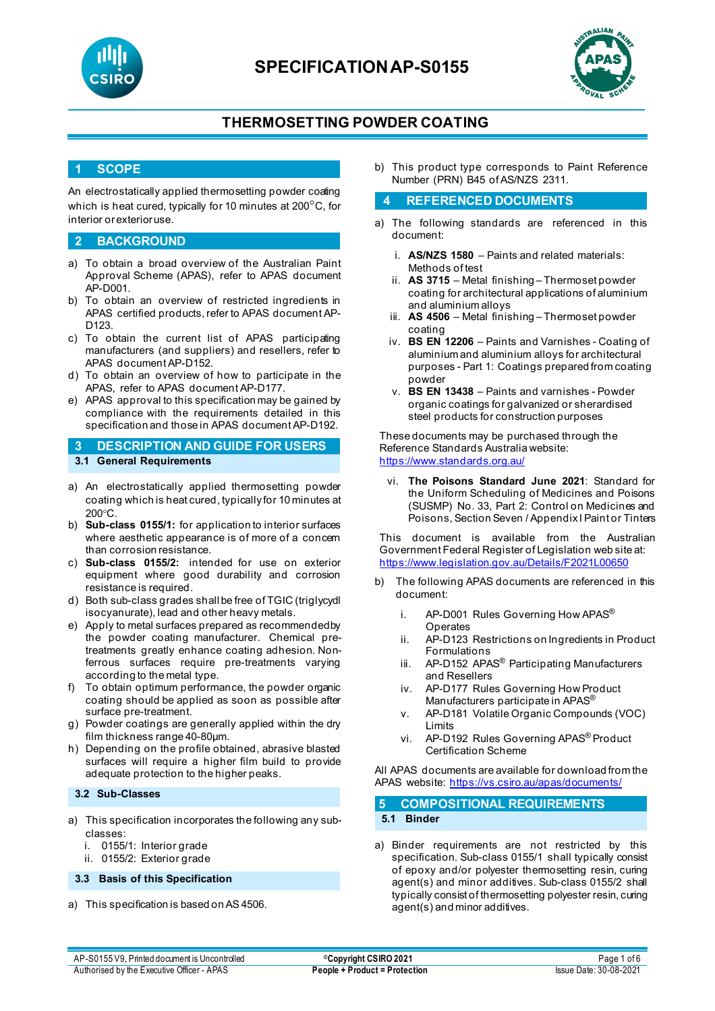



## **THERMOSETTING POWDER COATING**

### **1 SCOPE**

An electrostatically applied thermosetting powder coating which is heat cured, typically for 10 minutes at 200°C, for interior or exterior use.

#### **2 BACKGROUND**

- a) To obtain a broad overview of the Australian Paint Approval Scheme (APAS), refer to APAS document AP-D001.
- b) To obtain an overview of restricted ingredients in APAS certified products, refer to APAS document AP-D123.
- c) To obtain the current list of APAS participating manufacturers (and suppliers) and resellers, refer to APAS document AP-D152.
- d) To obtain an overview of how to participate in the APAS, refer to APAS document AP-D177.
- e) APAS approval to this specification may be gained by compliance with the requirements detailed in this specification and those in APAS document AP-D192.

### **3 DESCRIPTION AND GUIDE FOR USERS 3.1 General Requirements**

- a) An electrostatically applied thermosetting powder coating which is heat cured, typically for 10 minutes at 200°C.
- b) **Sub-class 0155/1:** for application to interior surfaces where aesthetic appearance is of more of a concern than corrosion resistance.
- c) **Sub-class 0155/2:** intended for use on exterior equipment where good durability and corrosion resistance is required.
- d) Both sub-class grades shall be free of TGIC (triglycydl isocyanurate), lead and other heavy metals.
- e) Apply to metal surfaces prepared as recommended by the powder coating manufacturer. Chemical pretreatments greatly enhance coating adhesion. Nonferrous surfaces require pre-treatments varying according to the metal type.
- f) To obtain optimum performance, the powder organic coating should be applied as soon as possible after surface pre-treatment.
- g) Powder coatings are generally applied within the dry film thickness range 40-80µm.
- h) Depending on the profile obtained, abrasive blasted surfaces will require a higher film build to provide adequate protection to the higher peaks.

### **3.2 Sub-Classes**

- a) This specification incorporates the following any subclasses:
	- i. 0155/1: Interior grade
	- ii. 0155/2: Exterior grade

**3.3 Basis of this Specification**

a) This specification is based on AS4506.

b) This product type corresponds to Paint Reference Number (PRN) B45 of AS/NZS 2311.

### **4 REFERENCED DOCUMENTS**

- a) The following standards are referenced in this document:
	- i. **AS/NZS 1580** Paints and related materials: Methods of test
	- ii. **AS 3715**  Metal finishing Thermoset powder coating for architectural applications of aluminium and aluminium alloys
	- iii. **AS 4506** Metal finishing Thermoset powder coating
	- iv. **BS EN 12206** Paints and Varnishes Coating of aluminium and aluminium alloys for architectural purposes - Part 1: Coatings prepared from coating powder
	- v. **BS EN 13438** Paints and varnishes Powder organic coatings for galvanized or sherardised steel products for construction purposes

These documents may be purchased through the Reference Standards Australia website: <https://www.standards.org.au/>

vi. **The Poisons Standard June 2021**: Standard for the Uniform Scheduling of Medicines and Poisons (SUSMP) No. 33, Part 2: Control on Medicines and Poisons, Section Seven / Appendix I Paint or Tinters

This document is available from the Australian Government Federal Register of Legislation web site at: <https://www.legislation.gov.au/Details/F2021L00650>

- b) The following APAS documents are referenced in this document:
	- i. AP-D001 Rules Governing How APAS<sup>®</sup> **Operates**
	- ii. AP-D123 Restrictions on Ingredients in Product Formulations
	- iii. AP-D152 APAS<sup>®</sup> Participating Manufacturers and Resellers
	- iv. AP-D177 Rules Governing How Product Manufacturers participate in APAS®
	- v. AP-D181 Volatile Organic Compounds (VOC) Limits
	- vi. AP-D192 Rules Governing APAS® Product Certification Scheme

All APAS documents are available for download from the APAS website: <https://vs.csiro.au/apas/documents/>

| 5 COMPOSITIONAL REQUIREMENTS |
|------------------------------|
| 5.1 Binder                   |

a) Binder requirements are not restricted by this specification. Sub-class 0155/1 shall typically consist of epoxy and/or polyester thermosetting resin, curing agent(s) and minor additives. Sub-class 0155/2 shall typically consist of thermosetting polyester resin, curing agent(s) and minor additives.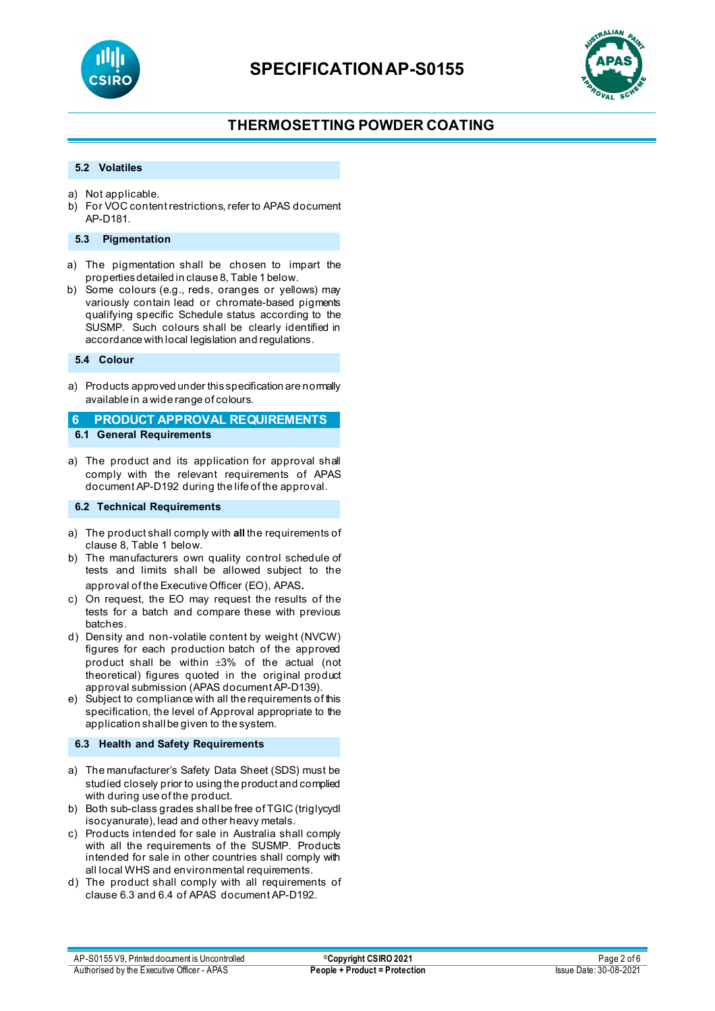



# **THERMOSETTING POWDER COATING**

### **5.2 Volatiles**

- a) Not applicable.
- b) For VOC content restrictions, refer to APAS document AP-D181.

#### **5.3 Pigmentation**

- a) The pigmentation shall be chosen to impart the properties detailed in clause 8, Table 1 below.
- b) Some colours (e.g., reds, oranges or yellows) may variously contain lead or chromate-based pigments qualifying specific Schedule status according to the SUSMP. Such colours shall be clearly identified in accordance with local legislation and regulations.

**5.4 Colour**

a) Products approved under this specification are normally available in a wide range of colours.

**6 PRODUCT APPROVAL REQUIREMENTS 6.1 General Requirements**

a) The product and its application for approval shall comply with the relevant requirements of APAS document AP-D192 during the life of the approval.

#### **6.2 Technical Requirements**

- a) The product shall comply with **all** the requirements of clause 8, Table 1 below.
- b) The manufacturers own quality control schedule of tests and limits shall be allowed subject to the approval of the Executive Officer (EO), APAS.
- c) On request, the EO may request the results of the tests for a batch and compare these with previous batches.
- d) Density and non-volatile content by weight (NVCW) figures for each production batch of the approved product shall be within ±3% of the actual (not theoretical) figures quoted in the original product approval submission (APAS document AP-D139).
- e) Subject to compliance with all the requirements of this specification, the level of Approval appropriate to the application shall be given to the system.

#### **6.3 Health and Safety Requirements**

- a) The manufacturer's Safety Data Sheet (SDS) must be studied closely prior to using the product and complied with during use of the product.
- b) Both sub-class grades shall be free of TGIC (triglycydl isocyanurate), lead and other heavy metals.
- c) Products intended for sale in Australia shall comply with all the requirements of the SUSMP. Products intended for sale in other countries shall comply with all local WHS and environmental requirements.
- d) The product shall comply with all requirements of clause 6.3 and 6.4 of APAS document AP-D192.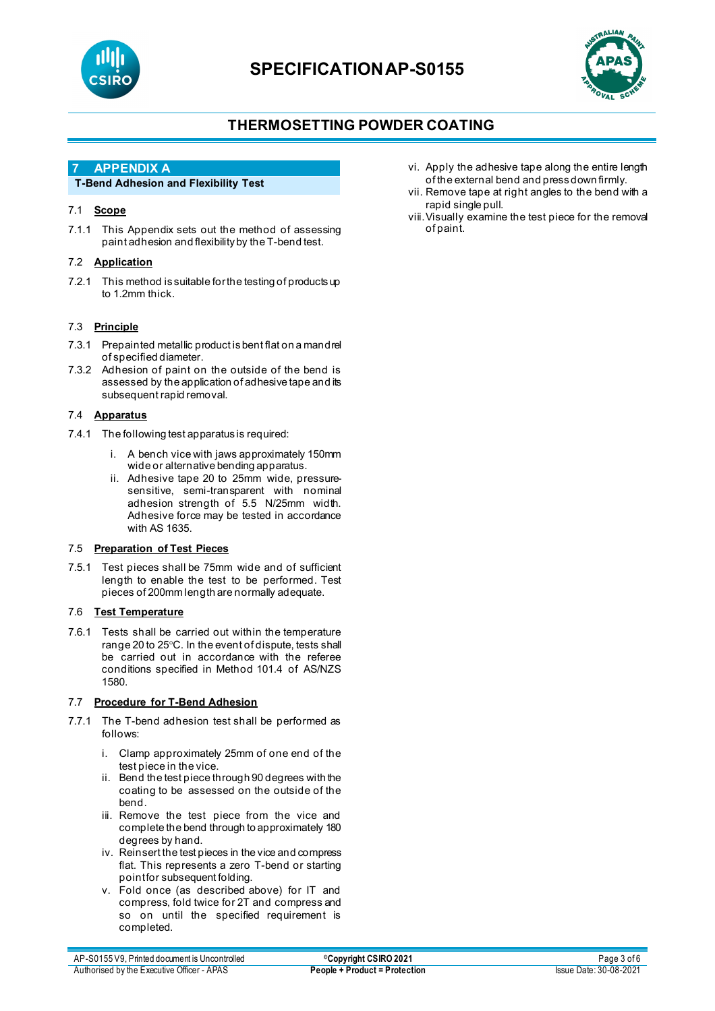



## **THERMOSETTING POWDER COATING**

### **7 APPENDIX A**

### **T-Bend Adhesion and Flexibility Test**

### 7.1 **Scope**

7.1.1 This Appendix sets out the method of assessing paint adhesion and flexibility by the T-bend test.

#### 7.2 **Application**

7.2.1 This method is suitable for the testing of products up to 1.2mm thick.

### 7.3 **Principle**

- 7.3.1 Prepainted metallic product is bent flat on a mandrel of specified diameter.
- 7.3.2 Adhesion of paint on the outside of the bend is assessed by the application of adhesive tape and its subsequent rapid removal.

#### 7.4 **Apparatus**

- 7.4.1 The following test apparatus is required:
	- i. A bench vice with jaws approximately 150mm wide or alternative bending apparatus.
	- ii. Adhesive tape 20 to 25mm wide, pressuresensitive, semi-transparent with nominal adhesion strength of 5.5 N/25mm width. Adhesive force may be tested in accordance with AS 1635.

#### 7.5 **Preparation of Test Pieces**

7.5.1 Test pieces shall be 75mm wide and of sufficient length to enable the test to be performed. Test pieces of 200mm length are normally adequate.

#### 7.6 **Test Temperature**

7.6.1 Tests shall be carried out within the temperature range 20 to 25°C. In the event of dispute, tests shall be carried out in accordance with the referee conditions specified in Method 101.4 of AS/NZS 1580.

#### 7.7 **Procedure for T-Bend Adhesion**

- 7.7.1 The T-bend adhesion test shall be performed as follows:
	- i. Clamp approximately 25mm of one end of the test piece in the vice.
	- ii. Bend the test piece through 90 degrees with the coating to be assessed on the outside of the bend.
	- iii. Remove the test piece from the vice and complete the bend through to approximately 180 degrees by hand.
	- iv. Reinsert the test pieces in the vice and compress flat. This represents a zero T-bend or starting point for subsequent folding.
	- v. Fold once (as described above) for IT and compress, fold twice for 2T and compress and so on until the specified requirement is completed.
- vi. Apply the adhesive tape along the entire length of the external bend and press down firmly.
- vii. Remove tape at right angles to the bend with a rapid single pull.
- viii.Visually examine the test piece for the removal of paint.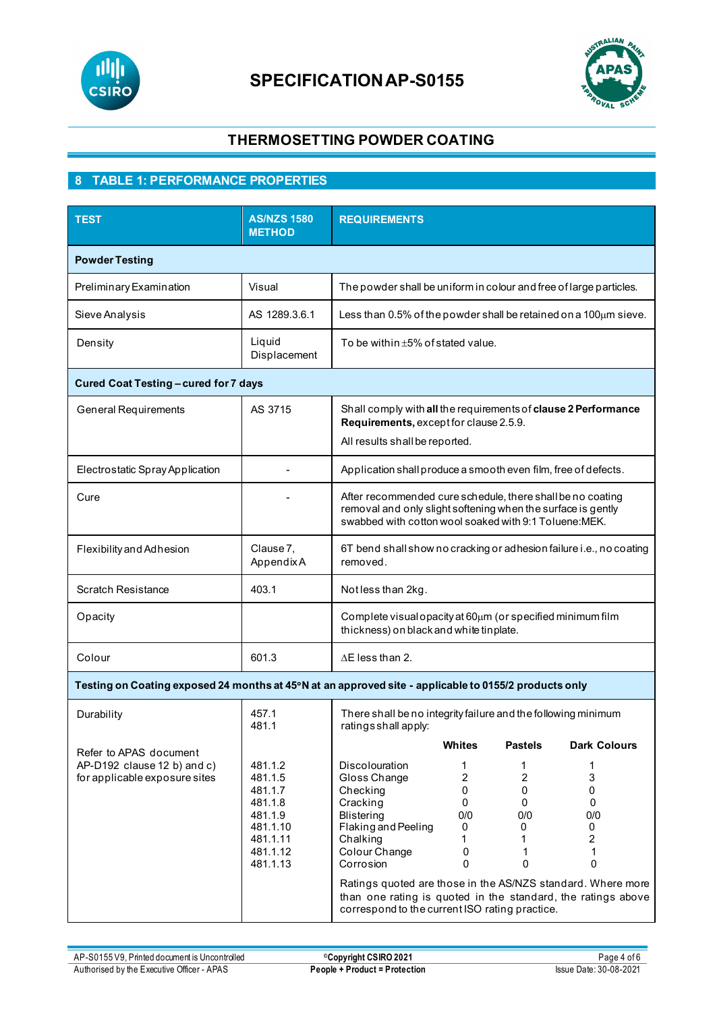



## **THERMOSETTING POWDER COATING**

# **8 TABLE 1: PERFORMANCE PROPERTIES**

| <b>TEST</b>                                                                            | <b>AS/NZS 1580</b><br><b>METHOD</b>                                                                 | <b>REQUIREMENTS</b>                                                                                                                                                                                                                                                                                                                                                                                                                                                                                                                                                                        |  |  |  |
|----------------------------------------------------------------------------------------|-----------------------------------------------------------------------------------------------------|--------------------------------------------------------------------------------------------------------------------------------------------------------------------------------------------------------------------------------------------------------------------------------------------------------------------------------------------------------------------------------------------------------------------------------------------------------------------------------------------------------------------------------------------------------------------------------------------|--|--|--|
| <b>Powder Testing</b>                                                                  |                                                                                                     |                                                                                                                                                                                                                                                                                                                                                                                                                                                                                                                                                                                            |  |  |  |
| Preliminary Examination                                                                | Visual                                                                                              | The powder shall be uniform in colour and free of large particles.                                                                                                                                                                                                                                                                                                                                                                                                                                                                                                                         |  |  |  |
| Sieve Analysis                                                                         | AS 1289.3.6.1                                                                                       | Less than 0.5% of the powder shall be retained on a 100 $\mu$ m sieve.                                                                                                                                                                                                                                                                                                                                                                                                                                                                                                                     |  |  |  |
| Density                                                                                | Liquid<br>Displacement                                                                              | To be within $\pm 5\%$ of stated value.                                                                                                                                                                                                                                                                                                                                                                                                                                                                                                                                                    |  |  |  |
| Cured Coat Testing - cured for 7 days                                                  |                                                                                                     |                                                                                                                                                                                                                                                                                                                                                                                                                                                                                                                                                                                            |  |  |  |
| <b>General Requirements</b>                                                            | AS 3715                                                                                             | Shall comply with all the requirements of clause 2 Performance<br>Requirements, except for clause 2.5.9.<br>All results shall be reported.                                                                                                                                                                                                                                                                                                                                                                                                                                                 |  |  |  |
| Electrostatic Spray Application                                                        |                                                                                                     | Application shall produce a smooth even film, free of defects.                                                                                                                                                                                                                                                                                                                                                                                                                                                                                                                             |  |  |  |
| Cure                                                                                   |                                                                                                     | After recommended cure schedule, there shall be no coating<br>removal and only slight softening when the surface is gently<br>swabbed with cotton wool soaked with 9:1 Toluene: MEK.                                                                                                                                                                                                                                                                                                                                                                                                       |  |  |  |
| Flexibility and Adhesion                                                               | Clause 7,<br>AppendixA                                                                              | 6T bend shall show no cracking or adhesion failure i.e., no coating<br>removed.                                                                                                                                                                                                                                                                                                                                                                                                                                                                                                            |  |  |  |
| <b>Scratch Resistance</b>                                                              | 403.1                                                                                               | Notless than 2kg.                                                                                                                                                                                                                                                                                                                                                                                                                                                                                                                                                                          |  |  |  |
| Opacity                                                                                |                                                                                                     | Complete visual opacity at 60um (or specified minimum film<br>thickness) on black and white tinplate.                                                                                                                                                                                                                                                                                                                                                                                                                                                                                      |  |  |  |
| Colour                                                                                 | 601.3                                                                                               | $\Delta$ E less than 2.                                                                                                                                                                                                                                                                                                                                                                                                                                                                                                                                                                    |  |  |  |
|                                                                                        |                                                                                                     | Testing on Coating exposed 24 months at 45°N at an approved site - applicable to 0155/2 products only                                                                                                                                                                                                                                                                                                                                                                                                                                                                                      |  |  |  |
| 457.1<br>Durability<br>481.1                                                           |                                                                                                     | There shall be no integrity failure and the following minimum<br>ratingsshall apply:                                                                                                                                                                                                                                                                                                                                                                                                                                                                                                       |  |  |  |
| Refer to APAS document<br>AP-D192 clause 12 b) and c)<br>for applicable exposure sites | 481.1.2<br>481.1.5<br>481.1.7<br>481.1.8<br>481.1.9<br>481.1.10<br>481.1.11<br>481.1.12<br>481.1.13 | Whites<br><b>Pastels</b><br><b>Dark Colours</b><br><b>Discolouration</b><br>1<br>1<br>$\overline{c}$<br>$\overline{2}$<br>3<br>Gloss Change<br>0<br>0<br>0<br>Checking<br>Cracking<br>$\mathbf 0$<br>0<br>$\mathbf 0$<br>0/0<br>0/0<br><b>Blistering</b><br>0/0<br>Flaking and Peeling<br>0<br>0<br>0<br>$\overline{c}$<br>Chalking<br>1<br>1<br>Colour Change<br>0<br>1<br>1<br>Corrosion<br>0<br>0<br>0<br>Ratings quoted are those in the AS/NZS standard. Where more<br>than one rating is quoted in the standard, the ratings above<br>correspond to the current ISO rating practice. |  |  |  |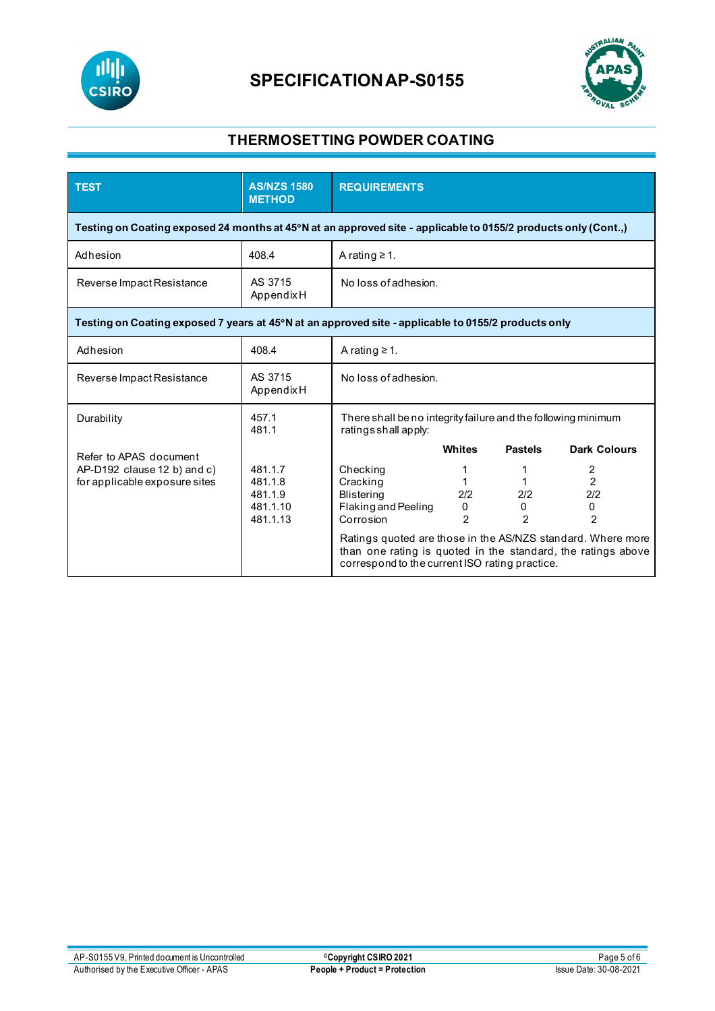



## **THERMOSETTING POWDER COATING**

| <b>TEST</b>                                                                                                    | <b>AS/NZS 1580</b><br><b>METHOD</b>                   | <b>REQUIREMENTS</b>                                                                                                                                                                                                                                            |                                      |                            |                                                   |
|----------------------------------------------------------------------------------------------------------------|-------------------------------------------------------|----------------------------------------------------------------------------------------------------------------------------------------------------------------------------------------------------------------------------------------------------------------|--------------------------------------|----------------------------|---------------------------------------------------|
| Testing on Coating exposed 24 months at 45°N at an approved site - applicable to 0155/2 products only (Cont.,) |                                                       |                                                                                                                                                                                                                                                                |                                      |                            |                                                   |
| Adhesion                                                                                                       | 408.4                                                 | A rating $\geq 1$ .                                                                                                                                                                                                                                            |                                      |                            |                                                   |
| Reverse Impact Resistance                                                                                      | AS 3715<br>AppendixH                                  | No loss of adhesion.                                                                                                                                                                                                                                           |                                      |                            |                                                   |
| Testing on Coating exposed 7 years at 45°N at an approved site - applicable to 0155/2 products only            |                                                       |                                                                                                                                                                                                                                                                |                                      |                            |                                                   |
| Adhesion                                                                                                       | 408.4                                                 | A rating $\geq 1$ .                                                                                                                                                                                                                                            |                                      |                            |                                                   |
| Reverse Impact Resistance                                                                                      | AS 3715<br>AppendixH                                  | No loss of adhesion.                                                                                                                                                                                                                                           |                                      |                            |                                                   |
| Durability                                                                                                     | 457.1<br>481.1                                        | There shall be no integrity failure and the following minimum<br>ratingsshall apply:                                                                                                                                                                           |                                      |                            |                                                   |
| Refer to APAS document                                                                                         |                                                       |                                                                                                                                                                                                                                                                | <b>Whites</b>                        | <b>Pastels</b>             | <b>Dark Colours</b>                               |
| AP-D192 clause 12 b) and c)<br>for applicable exposure sites                                                   | 481.1.7<br>481.1.8<br>481.1.9<br>481.1.10<br>481.1.13 | Checking<br>Cracking<br><b>Blistering</b><br>Flaking and Peeling<br>Corrosion<br>Ratings quoted are those in the AS/NZS standard. Where more<br>than one rating is quoted in the standard, the ratings above<br>correspond to the current ISO rating practice. | 1<br>1<br>2/2<br>0<br>$\mathfrak{p}$ | 2/2<br>0<br>$\mathfrak{p}$ | 2<br>$\overline{2}$<br>2/2<br>0<br>$\mathfrak{p}$ |